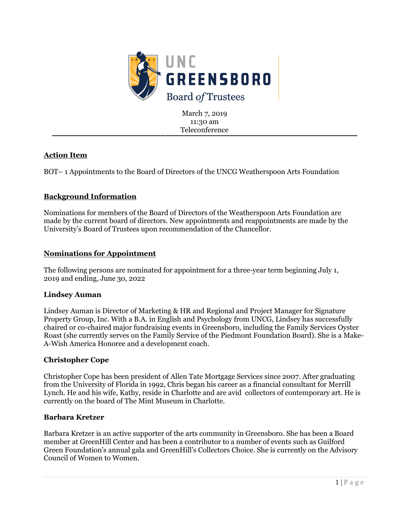

March 7, 2019 11:30 am Teleconference

## **Action Item**

BOT– 1 Appointments to the Board of Directors of the UNCG Weatherspoon Arts Foundation

### **Background Information**

Nominations for members of the Board of Directors of the Weatherspoon Arts Foundation are made by the current board of directors. New appointments and reappointments are made by the University's Board of Trustees upon recommendation of the Chancellor.

### **Nominations for Appointment**

The following persons are nominated for appointment for a three-year term beginning July 1, 2019 and ending, June 30, 2022

### **Lindsey Auman**

Lindsey Auman is Director of Marketing & HR and Regional and Project Manager for Signature Property Group, Inc. With a B.A. in English and Psychology from UNCG, Lindsey has successfully chaired or co-chaired major fundraising events in Greensboro, including the Family Services Oyster Roast (she currently serves on the Family Service of the Piedmont Foundation Board). She is a Make-A-Wish America Honoree and a development coach.

### **Christopher Cope**

Christopher Cope has been president of Allen Tate Mortgage Services since 2007. After graduating from the University of Florida in 1992, Chris began his career as a financial consultant for Merrill Lynch. He and his wife, Kathy, reside in Charlotte and are avid collectors of contemporary art. He is currently on the board of The Mint Museum in Charlotte.

### **Barbara Kretzer**

Barbara Kretzer is an active supporter of the arts community in Greensboro. She has been a Board member at GreenHill Center and has been a contributor to a number of events such as Guilford Green Foundation's annual gala and GreenHill's Collectors Choice. She is currently on the Advisory Council of Women to Women.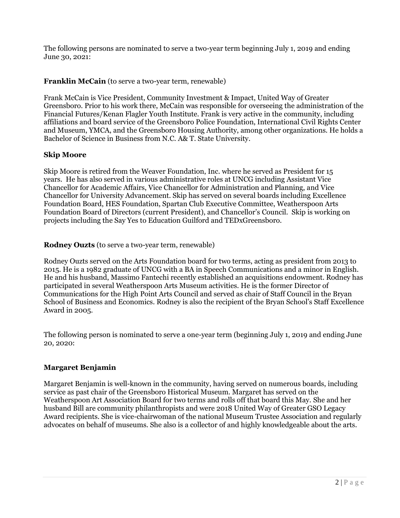The following persons are nominated to serve a two-year term beginning July 1, 2019 and ending June 30, 2021:

### **Franklin McCain** (to serve a two-year term, renewable)

Frank McCain is Vice President, Community Investment & Impact, United Way of Greater Greensboro. Prior to his work there, McCain was responsible for overseeing the administration of the Financial Futures/Kenan Flagler Youth Institute. Frank is very active in the community, including affiliations and board service of the Greensboro Police Foundation, International Civil Rights Center and Museum, YMCA, and the Greensboro Housing Authority, among other organizations. He holds a Bachelor of Science in Business from N.C. A& T. State University.

### **Skip Moore**

Skip Moore is retired from the Weaver Foundation, Inc. where he served as President for 15 years. He has also served in various administrative roles at UNCG including Assistant Vice Chancellor for Academic Affairs, Vice Chancellor for Administration and Planning, and Vice Chancellor for University Advancement. Skip has served on several boards including Excellence Foundation Board, HES Foundation, Spartan Club Executive Committee, Weatherspoon Arts Foundation Board of Directors (current President), and Chancellor's Council. Skip is working on projects including the Say Yes to Education Guilford and TEDxGreensboro.

### **Rodney Ouzts** (to serve a two-year term, renewable)

Rodney Ouzts served on the Arts Foundation board for two terms, acting as president from 2013 to 2015. He is a 1982 graduate of UNCG with a BA in Speech Communications and a minor in English. He and his husband, Massimo Fantechi recently established an acquisitions endowment. Rodney has participated in several Weatherspoon Arts Museum activities. He is the former Director of Communications for the High Point Arts Council and served as chair of Staff Council in the Bryan School of Business and Economics. Rodney is also the recipient of the Bryan School's Staff Excellence Award in 2005.

The following person is nominated to serve a one-year term (beginning July 1, 2019 and ending June 20, 2020:

## **Margaret Benjamin**

Margaret Benjamin is well-known in the community, having served on numerous boards, including service as past chair of the Greensboro Historical Museum. Margaret has served on the Weatherspoon Art Association Board for two terms and rolls off that board this May. She and her husband Bill are community philanthropists and were 2018 United Way of Greater GSO Legacy Award recipients. She is vice-chairwoman of the national Museum Trustee Association and regularly advocates on behalf of museums. She also is a collector of and highly knowledgeable about the arts.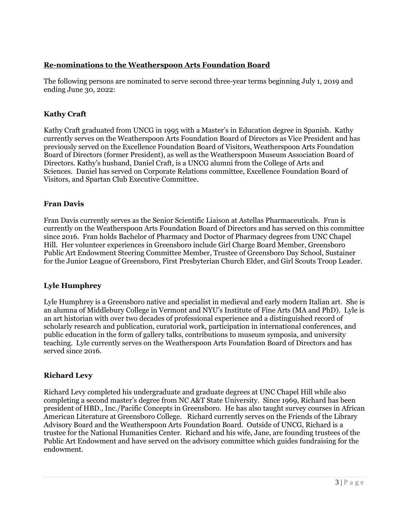# **Re-nominations to the Weatherspoon Arts Foundation Board**

The following persons are nominated to serve second three-year terms beginning July 1, 2019 and ending June 30, 2022:

# **Kathy Craft**

Kathy Craft graduated from UNCG in 1995 with a Master's in Education degree in Spanish. Kathy currently serves on the Weatherspoon Arts Foundation Board of Directors as Vice President and has previously served on the Excellence Foundation Board of Visitors, Weatherspoon Arts Foundation Board of Directors (former President), as well as the Weatherspoon Museum Association Board of Directors. Kathy's husband, Daniel Craft, is a UNCG alumni from the College of Arts and Sciences. Daniel has served on Corporate Relations committee, Excellence Foundation Board of Visitors, and Spartan Club Executive Committee.

## **Fran Davis**

Fran Davis currently serves as the Senior Scientific Liaison at Astellas Pharmaceuticals. Fran is currently on the Weatherspoon Arts Foundation Board of Directors and has served on this committee since 2016. Fran holds Bachelor of Pharmacy and Doctor of Pharmacy degrees from UNC Chapel Hill. Her volunteer experiences in Greensboro include Girl Charge Board Member, Greensboro Public Art Endowment Steering Committee Member, Trustee of Greensboro Day School, Sustainer for the Junior League of Greensboro, First Presbyterian Church Elder, and Girl Scouts Troop Leader.

# **Lyle Humphrey**

Lyle Humphrey is a Greensboro native and specialist in medieval and early modern Italian art. She is an alumna of Middlebury College in Vermont and NYU's Institute of Fine Arts (MA and PhD). Lyle is an art historian with over two decades of professional experience and a distinguished record of scholarly research and publication, curatorial work, participation in international conferences, and public education in the form of gallery talks, contributions to museum symposia, and university teaching. Lyle currently serves on the Weatherspoon Arts Foundation Board of Directors and has served since 2016.

# **Richard Levy**

Richard Levy completed his undergraduate and graduate degrees at UNC Chapel Hill while also completing a second master's degree from NC A&T State University. Since 1969, Richard has been president of HBD., Inc./Pacific Concepts in Greensboro. He has also taught survey courses in African American Literature at Greensboro College. Richard currently serves on the Friends of the Library Advisory Board and the Weatherspoon Arts Foundation Board. Outside of UNCG, Richard is a trustee for the National Humanities Center. Richard and his wife, Jane, are founding trustees of the Public Art Endowment and have served on the advisory committee which guides fundraising for the endowment.